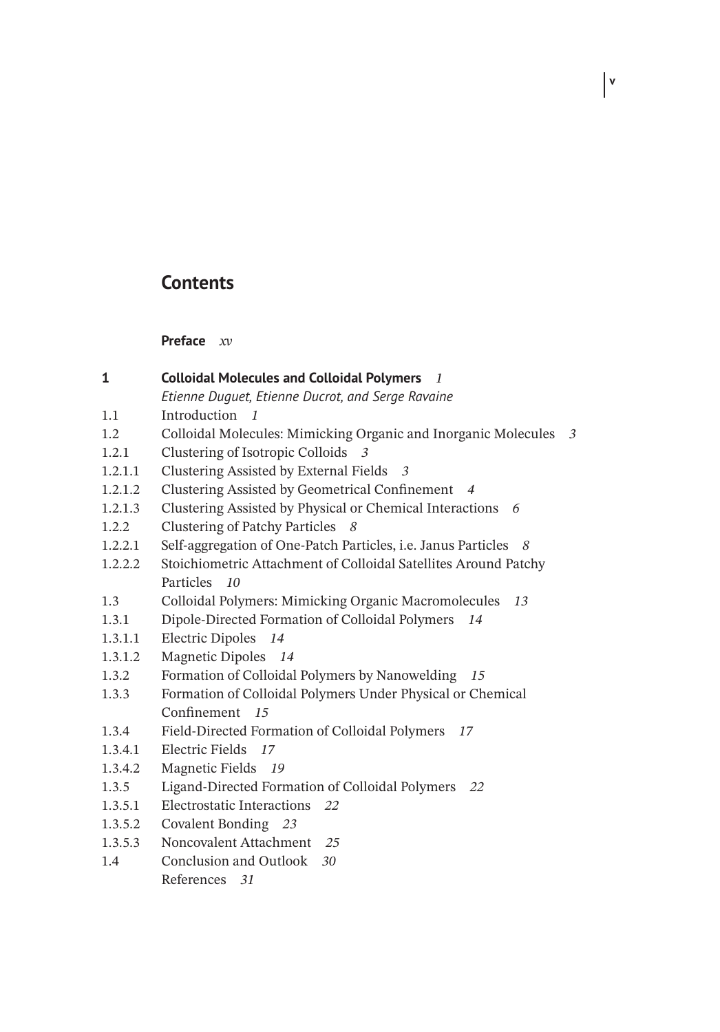## **Contents**

**Preface** *xv*

1.1 Introduction *1*

**1 Colloidal Molecules and Colloidal Polymers** *1*

*Etienne Duguet, Etienne Ducrot, and Serge Ravaine*

| 1.2     | Colloidal Molecules: Mimicking Organic and Inorganic Molecules 3     |  |
|---------|----------------------------------------------------------------------|--|
| 1.2.1   | Clustering of Isotropic Colloids 3                                   |  |
| 1.2.1.1 | Clustering Assisted by External Fields 3                             |  |
| 1.2.1.2 | Clustering Assisted by Geometrical Confinement 4                     |  |
| 1.2.1.3 | Clustering Assisted by Physical or Chemical Interactions 6           |  |
| 1.2.2   | Clustering of Patchy Particles 8                                     |  |
| 1.2.2.1 | Self-aggregation of One-Patch Particles, i.e. Janus Particles<br>- 8 |  |
| 1.2.2.2 | Stoichiometric Attachment of Colloidal Satellites Around Patchy      |  |
|         | Particles 10                                                         |  |
| 1.3     | Colloidal Polymers: Mimicking Organic Macromolecules<br>13           |  |
| 1.3.1   | Dipole-Directed Formation of Colloidal Polymers<br>14                |  |
| 1.3.1.1 | Electric Dipoles 14                                                  |  |
| 1.3.1.2 | Magnetic Dipoles 14                                                  |  |
| 1.3.2   | Formation of Colloidal Polymers by Nanowelding<br>15                 |  |
| 1.3.3   | Formation of Colloidal Polymers Under Physical or Chemical           |  |
|         | Confinement 15                                                       |  |
| 1.3.4   | Field-Directed Formation of Colloidal Polymers<br>17                 |  |
| 1.3.4.1 | Electric Fields 17                                                   |  |
| 1.3.4.2 | Magnetic Fields 19                                                   |  |
| 1.3.5   | Ligand-Directed Formation of Colloidal Polymers 22                   |  |
| 1.3.5.1 | Electrostatic Interactions 22                                        |  |
| 1.3.5.2 | Covalent Bonding 23                                                  |  |
| 1.3.5.3 | Noncovalent Attachment 25                                            |  |
| 1.4     | Conclusion and Outlook 30                                            |  |
|         | References 31                                                        |  |
|         |                                                                      |  |
|         |                                                                      |  |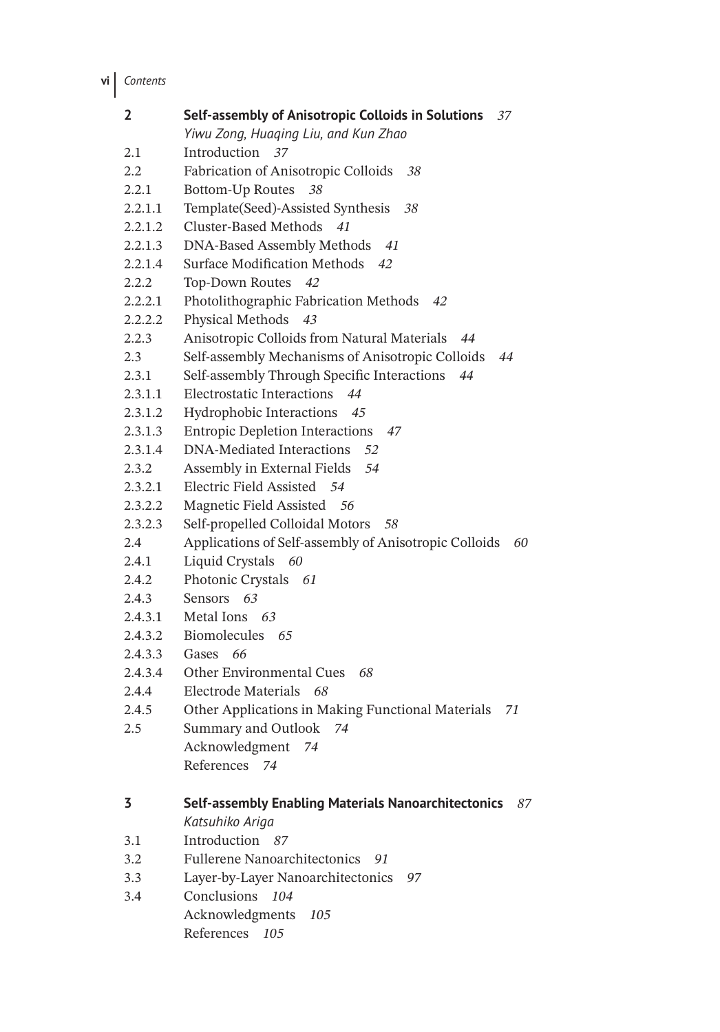**vi** *Contents*

| 2       | Self-assembly of Anisotropic Colloids in Solutions 37<br>Yiwu Zong, Huaqing Liu, and Kun Zhao |
|---------|-----------------------------------------------------------------------------------------------|
| 2.1     | Introduction 37                                                                               |
| 2.2     | Fabrication of Anisotropic Colloids<br>38                                                     |
| 2.2.1   | <b>Bottom-Up Routes</b><br>38                                                                 |
| 2.2.1.1 | Template(Seed)-Assisted Synthesis<br>38                                                       |
| 2.2.1.2 | <b>Cluster-Based Methods</b><br>41                                                            |
| 2.2.1.3 | DNA-Based Assembly Methods<br>41                                                              |
| 2.2.1.4 | <b>Surface Modification Methods</b><br>42                                                     |
| 2.2.2   | Top-Down Routes<br>42                                                                         |
| 2.2.2.1 | Photolithographic Fabrication Methods<br>42                                                   |
| 2.2.2.2 | Physical Methods 43                                                                           |
| 2.2.3   | Anisotropic Colloids from Natural Materials<br>44                                             |
| 2.3     | Self-assembly Mechanisms of Anisotropic Colloids<br>44                                        |
| 2.3.1   | Self-assembly Through Specific Interactions<br>44                                             |
| 2.3.1.1 | <b>Electrostatic Interactions</b><br>44                                                       |
| 2.3.1.2 | Hydrophobic Interactions<br>45                                                                |
| 2.3.1.3 | <b>Entropic Depletion Interactions</b><br>-47                                                 |
| 2.3.1.4 | DNA-Mediated Interactions<br>52                                                               |
| 2.3.2   | Assembly in External Fields<br>54                                                             |
| 2.3.2.1 | Electric Field Assisted 54                                                                    |
| 2.3.2.2 | Magnetic Field Assisted 56                                                                    |
| 2.3.2.3 | Self-propelled Colloidal Motors<br>- 58                                                       |
| 2.4     | Applications of Self-assembly of Anisotropic Colloids<br>60                                   |
| 2.4.1   | Liquid Crystals 60                                                                            |
| 2.4.2   | Photonic Crystals 61                                                                          |
| 2.4.3   | Sensors 63                                                                                    |
| 2.4.3.1 | Metal Ions 63                                                                                 |
| 2.4.3.2 | Biomolecules 65                                                                               |
| 2.4.3.3 | Gases<br>66                                                                                   |
| 2.4.3.4 | <b>Other Environmental Cues</b><br>68                                                         |
| 2.4.4   | <b>Electrode Materials</b><br>68                                                              |
| 2.4.5   | Other Applications in Making Functional Materials<br>71                                       |
| 2.5     | Summary and Outlook<br>74                                                                     |
|         | Acknowledgment<br>74                                                                          |
|         | References 74                                                                                 |
| 3       | Self-assembly Enabling Materials Nanoarchitectonics<br>87                                     |
|         | Katsuhiko Ariga                                                                               |
| 3.1     | Introduction 87                                                                               |
| 3.2     | <b>Fullerene Nanoarchitectonics</b><br>91                                                     |
| 3.3     | Layer-by-Layer Nanoarchitectonics<br>97                                                       |
| 3.4     | Conclusions<br>104                                                                            |
|         | Acknowledgments<br>105                                                                        |
|         | References<br>105                                                                             |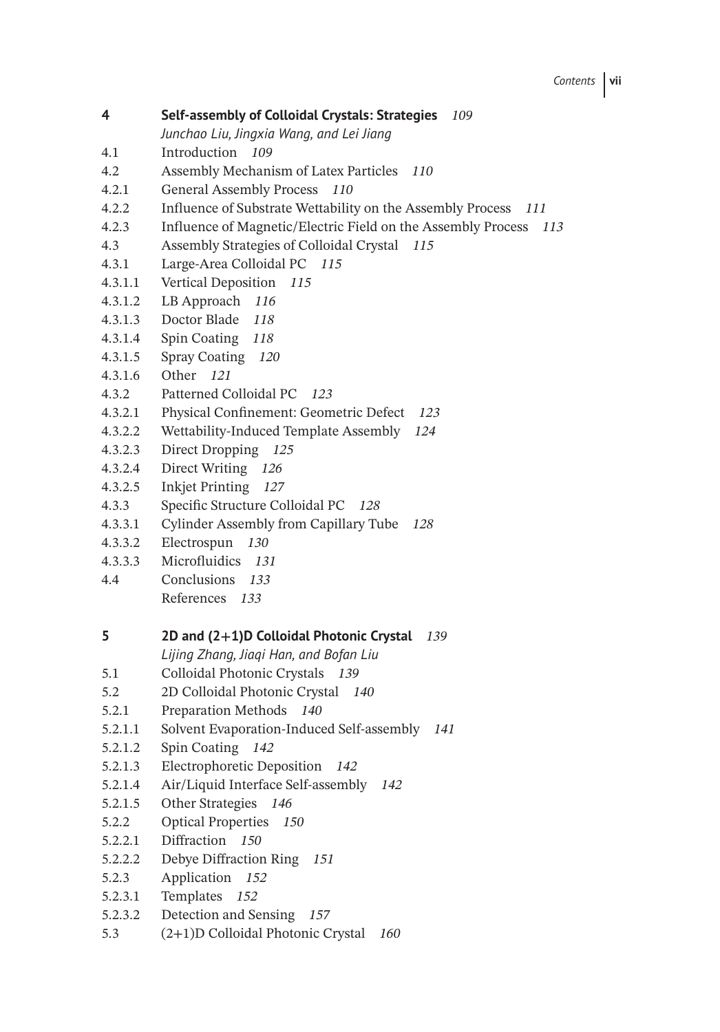- **4 Self-assembly of Colloidal Crystals: Strategies** *109*
	- *Junchao Liu, Jingxia Wang, and Lei Jiang*
- 4.1 Introduction *109*
- 4.2 Assembly Mechanism of Latex Particles *110*
- 4.2.1 General Assembly Process *110*
- 4.2.2 Influence of Substrate Wettability on the Assembly Process *111*
- 4.2.3 Influence of Magnetic/Electric Field on the Assembly Process *113*
- 4.3 Assembly Strategies of Colloidal Crystal *115*
- 4.3.1 Large-Area Colloidal PC *115*
- 4.3.1.1 Vertical Deposition *115*
- 4.3.1.2 LB Approach *116*
- 4.3.1.3 Doctor Blade *118*
- 4.3.1.4 Spin Coating *118*
- 4.3.1.5 Spray Coating *120*
- 4.3.1.6 Other *121*
- 4.3.2 Patterned Colloidal PC *123*
- 4.3.2.1 Physical Confinement: Geometric Defect *123*
- 4.3.2.2 Wettability-Induced Template Assembly *124*
- 4.3.2.3 Direct Dropping *125*
- 4.3.2.4 Direct Writing *126*
- 4.3.2.5 Inkjet Printing *127*
- 4.3.3 Specific Structure Colloidal PC *128*
- 4.3.3.1 Cylinder Assembly from Capillary Tube *128*
- 4.3.3.2 Electrospun *130*
- 4.3.3.3 Microfluidics *131*
- 4.4 Conclusions *133*
	- References *133*

#### **5 2D and (2+1)D Colloidal Photonic Crystal** *139*

*Lijing Zhang, Jiaqi Han, and Bofan Liu*

- 5.1 Colloidal Photonic Crystals *139*
- 5.2 2D Colloidal Photonic Crystal *140*
- 5.2.1 Preparation Methods *140*
- 5.2.1.1 Solvent Evaporation-Induced Self-assembly *141*
- 5.2.1.2 Spin Coating *142*
- 5.2.1.3 Electrophoretic Deposition *142*
- 5.2.1.4 Air/Liquid Interface Self-assembly *142*
- 5.2.1.5 Other Strategies *146*
- 5.2.2 Optical Properties *150*
- 5.2.2.1 Diffraction *150*
- 5.2.2.2 Debye Diffraction Ring *151*
- 5.2.3 Application *152*
- 5.2.3.1 Templates *152*
- 5.2.3.2 Detection and Sensing *157*
- 5.3 (2+1)D Colloidal Photonic Crystal *160*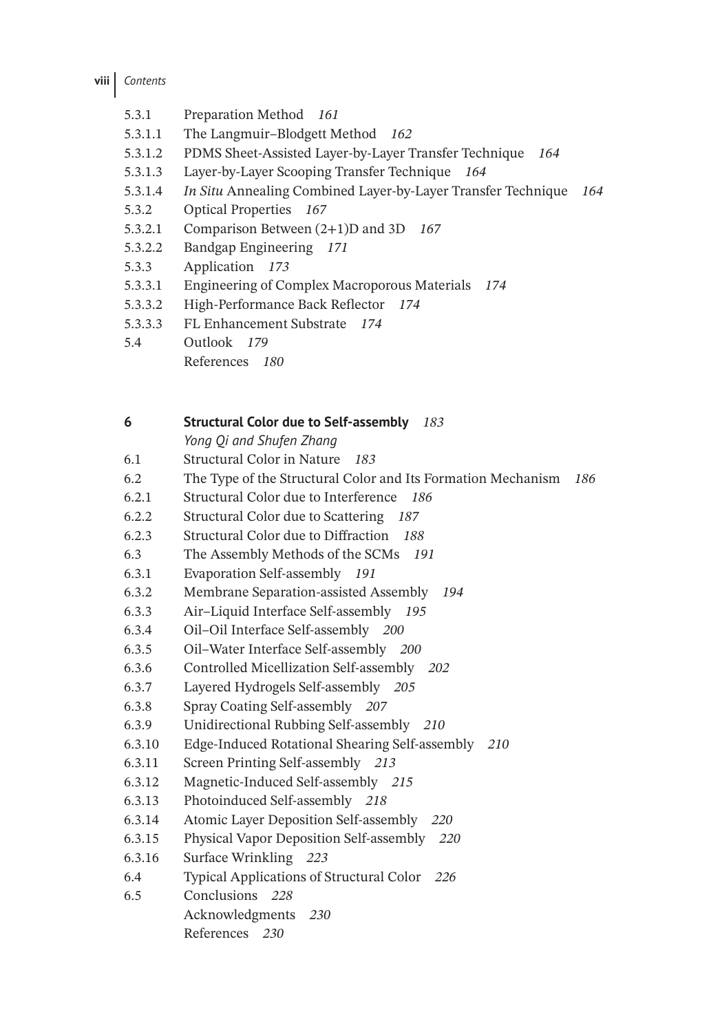- 5.3.1 Preparation Method *161*
- 5.3.1.1 The Langmuir–Blodgett Method *162*
- 5.3.1.2 PDMS Sheet-Assisted Layer-by-Layer Transfer Technique *164*
- 5.3.1.3 Layer-by-Layer Scooping Transfer Technique *164*
- 5.3.1.4 *In Situ* Annealing Combined Layer-by-Layer Transfer Technique *164*
- 5.3.2 Optical Properties *167*
- 5.3.2.1 Comparison Between (2+1)D and 3D *167*
- 5.3.2.2 Bandgap Engineering *171*
- 5.3.3 Application *173*
- 5.3.3.1 Engineering of Complex Macroporous Materials *174*
- 5.3.3.2 High-Performance Back Reflector *174*
- 5.3.3.3 FL Enhancement Substrate *174*
- 5.4 Outlook *179*
	- References *180*

| 6      | <b>Structural Color due to Self-assembly</b><br>183                 |
|--------|---------------------------------------------------------------------|
|        | Yong Qi and Shufen Zhang                                            |
| 6.1    | Structural Color in Nature 183                                      |
| 6.2    | The Type of the Structural Color and Its Formation Mechanism<br>186 |
| 6.2.1  | Structural Color due to Interference<br>186                         |
| 6.2.2  | Structural Color due to Scattering 187                              |
| 6.2.3  | Structural Color due to Diffraction 188                             |
| 6.3    | The Assembly Methods of the SCMs 191                                |
| 6.3.1  | Evaporation Self-assembly 191                                       |
| 6.3.2  | Membrane Separation-assisted Assembly<br>194                        |
| 6.3.3  | Air-Liquid Interface Self-assembly 195                              |
| 6.3.4  | Oil-Oil Interface Self-assembly 200                                 |
| 6.3.5  | Oil-Water Interface Self-assembly 200                               |
| 6.3.6  | Controlled Micellization Self-assembly 202                          |
| 6.3.7  | Layered Hydrogels Self-assembly 205                                 |
| 6.3.8  | Spray Coating Self-assembly 207                                     |
| 6.3.9  | Unidirectional Rubbing Self-assembly 210                            |
| 6.3.10 | Edge-Induced Rotational Shearing Self-assembly<br>210               |
| 6.3.11 | Screen Printing Self-assembly 213                                   |
| 6.3.12 | Magnetic-Induced Self-assembly 215                                  |
| 6.3.13 | Photoinduced Self-assembly 218                                      |
| 6.3.14 | Atomic Layer Deposition Self-assembly 220                           |
| 6.3.15 | Physical Vapor Deposition Self-assembly 220                         |
| 6.3.16 | Surface Wrinkling 223                                               |
| 6.4    | Typical Applications of Structural Color 226                        |
| 6.5    | Conclusions 228                                                     |
|        | Acknowledgments 230                                                 |
|        | References 230                                                      |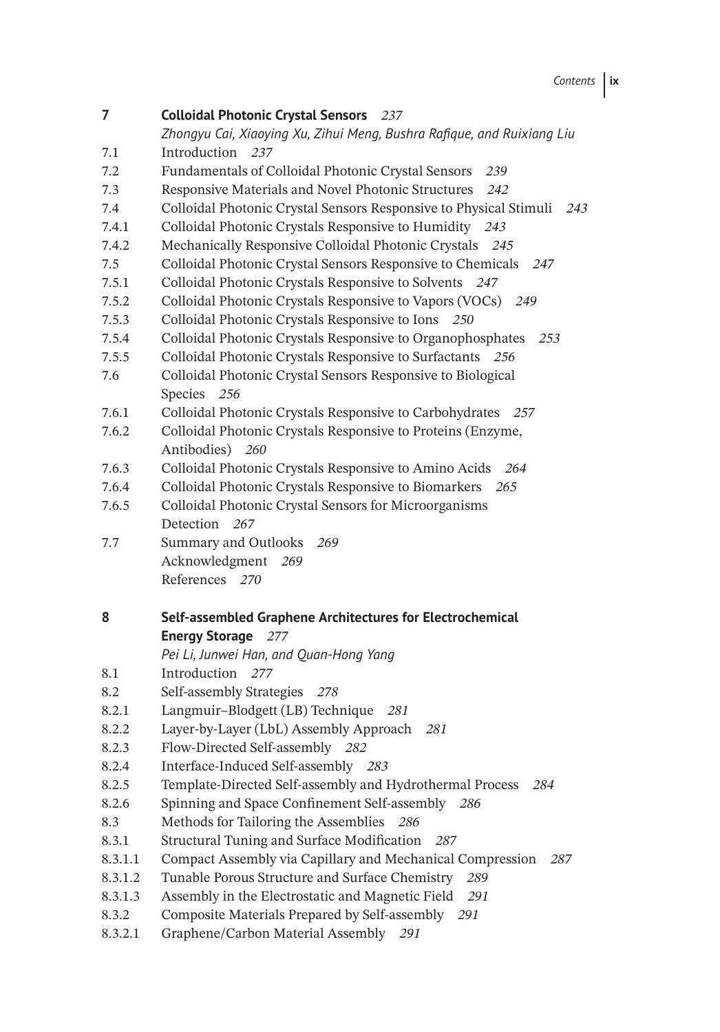**7 Colloidal Photonic Crystal Sensors** *237 Zhongyu Cai, Xiaoying Xu, Zihui Meng, Bushra Rafique, and Ruixiang Liu* 7.1 Introduction *237* 7.2 Fundamentals of Colloidal Photonic Crystal Sensors *239* 7.3 Responsive Materials and Novel Photonic Structures *242* 7.4 Colloidal Photonic Crystal Sensors Responsive to Physical Stimuli *243* 7.4.1 Colloidal Photonic Crystals Responsive to Humidity *243* 7.4.2 Mechanically Responsive Colloidal Photonic Crystals *245* 7.5 Colloidal Photonic Crystal Sensors Responsive to Chemicals *247* 7.5.1 Colloidal Photonic Crystals Responsive to Solvents *247* 7.5.2 Colloidal Photonic Crystals Responsive to Vapors (VOCs) *249* 7.5.3 Colloidal Photonic Crystals Responsive to Ions *250* 7.5.4 Colloidal Photonic Crystals Responsive to Organophosphates *253* 7.5.5 Colloidal Photonic Crystals Responsive to Surfactants *256* 7.6 Colloidal Photonic Crystal Sensors Responsive to Biological Species *256* 7.6.1 Colloidal Photonic Crystals Responsive to Carbohydrates *257* 7.6.2 Colloidal Photonic Crystals Responsive to Proteins (Enzyme, Antibodies) *260* 7.6.3 Colloidal Photonic Crystals Responsive to Amino Acids *264* 7.6.4 Colloidal Photonic Crystals Responsive to Biomarkers *265* 7.6.5 Colloidal Photonic Crystal Sensors for Microorganisms Detection *267* 7.7 Summary and Outlooks *269* Acknowledgment *269* References *270* **8 Self-assembled Graphene Architectures for Electrochemical Energy Storage** *277 Pei Li, Junwei Han, and Quan-Hong Yang* 8.1 Introduction *277* 8.2 Self-assembly Strategies *278* 8.2.1 Langmuir–Blodgett (LB) Technique *281* 8.2.2 Layer-by-Layer (LbL) Assembly Approach *281* 8.2.3 Flow-Directed Self-assembly *282* 8.2.4 Interface-Induced Self-assembly *283* 8.2.5 Template-Directed Self-assembly and Hydrothermal Process *284* 8.2.6 Spinning and Space Confinement Self-assembly *286* 8.3 Methods for Tailoring the Assemblies *286* 8.3.1 Structural Tuning and Surface Modification *287* 8.3.1.1 Compact Assembly via Capillary and Mechanical Compression *287* 8.3.1.2 Tunable Porous Structure and Surface Chemistry *289* 8.3.1.3 Assembly in the Electrostatic and Magnetic Field *291* 8.3.2 Composite Materials Prepared by Self-assembly *291* 8.3.2.1 Graphene/Carbon Material Assembly *291*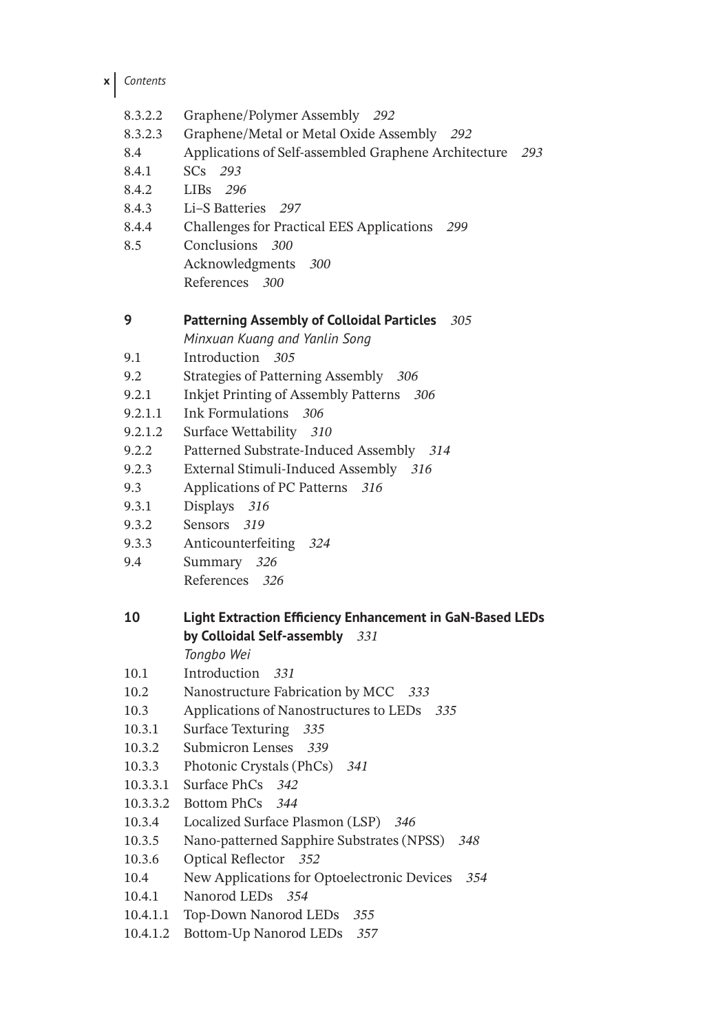**x** *Contents*

- 8.3.2.2 Graphene/Polymer Assembly *292*
- 8.3.2.3 Graphene/Metal or Metal Oxide Assembly *292*
- 8.4 Applications of Self-assembled Graphene Architecture *293*
- 8.4.1 SCs *293*
- 8.4.2 LIBs *296*
- 8.4.3 Li–S Batteries *297*
- 8.4.4 Challenges for Practical EES Applications *299*
- 8.5 Conclusions *300* Acknowledgments *300* References *300*

#### **9 Patterning Assembly of Colloidal Particles** *305*

*Minxuan Kuang and Yanlin Song*

- 9.1 Introduction *305*
- 9.2 Strategies of Patterning Assembly *306*
- 9.2.1 Inkjet Printing of Assembly Patterns *306*
- 9.2.1.1 Ink Formulations *306*
- 9.2.1.2 Surface Wettability *310*
- 9.2.2 Patterned Substrate-Induced Assembly *314*
- 9.2.3 External Stimuli-Induced Assembly *316*
- 9.3 Applications of PC Patterns *316*
- 9.3.1 Displays *316*
- 9.3.2 Sensors *319*
- 9.3.3 Anticounterfeiting *324*
- 9.4 Summary *326* References *326*

## **10 Light Extraction Efficiency Enhancement in GaN-Based LEDs by Colloidal Self-assembly** *331*

*Tongbo Wei*

- 10.1 Introduction *331*
- 10.2 Nanostructure Fabrication by MCC *333*
- 10.3 Applications of Nanostructures to LEDs *335*
- 10.3.1 Surface Texturing *335*
- 10.3.2 Submicron Lenses *339*
- 10.3.3 Photonic Crystals (PhCs) *341*
- 10.3.3.1 Surface PhCs *342*
- 10.3.3.2 Bottom PhCs *344*
- 10.3.4 Localized Surface Plasmon (LSP) *346*
- 10.3.5 Nano-patterned Sapphire Substrates (NPSS) *348*
- 10.3.6 Optical Reflector *352*
- 10.4 New Applications for Optoelectronic Devices *354*
- 10.4.1 Nanorod LEDs *354*
- 10.4.1.1 Top-Down Nanorod LEDs *355*
- 10.4.1.2 Bottom-Up Nanorod LEDs *357*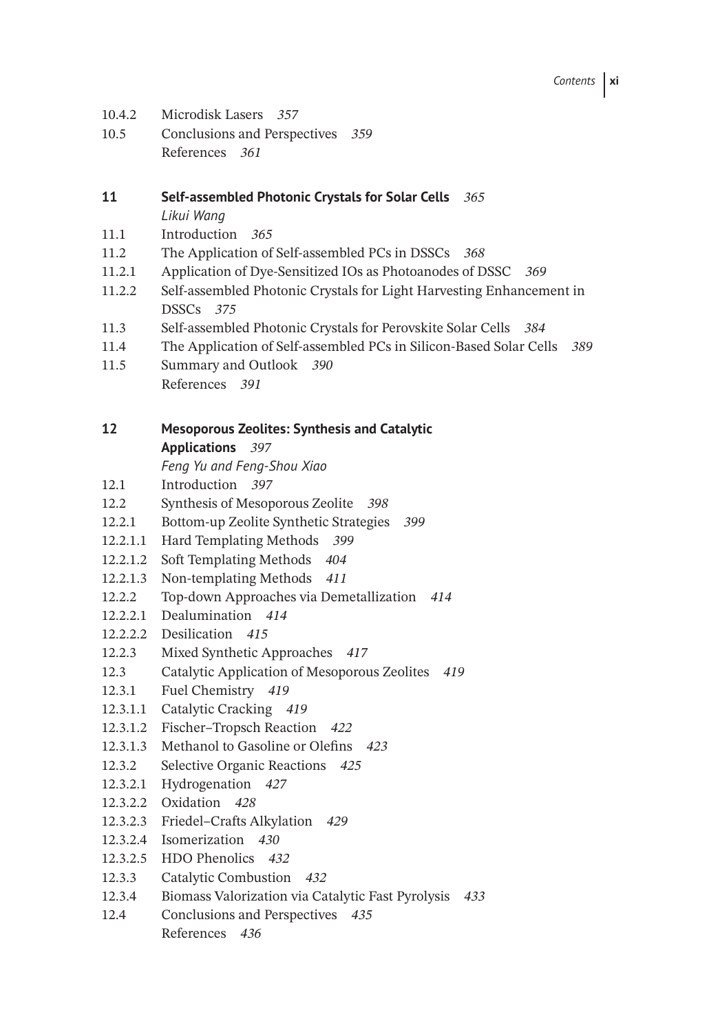- 10.4.2 Microdisk Lasers *357*
- 10.5 Conclusions and Perspectives *359* References *361*

# **11 Self-assembled Photonic Crystals for Solar Cells** *365*

*Likui Wang*

- 11.1 Introduction *365*
- 11.2 The Application of Self-assembled PCs in DSSCs *368*
- 11.2.1 Application of Dye-Sensitized IOs as Photoanodes of DSSC *369*
- 11.2.2 Self-assembled Photonic Crystals for Light Harvesting Enhancement in DSSCs *375*
- 11.3 Self-assembled Photonic Crystals for Perovskite Solar Cells *384*
- 11.4 The Application of Self-assembled PCs in Silicon-Based Solar Cells *389*
- 11.5 Summary and Outlook *390* References *391*

### **12 Mesoporous Zeolites: Synthesis and Catalytic**

**Applications** *397*

- *Feng Yu and Feng-Shou Xiao*
- 12.1 Introduction *397*
- 12.2 Synthesis of Mesoporous Zeolite *398*
- 12.2.1 Bottom-up Zeolite Synthetic Strategies *399*
- 12.2.1.1 Hard Templating Methods *399*
- 12.2.1.2 Soft Templating Methods *404*
- 12.2.1.3 Non-templating Methods *411*
- 12.2.2 Top-down Approaches via Demetallization *414*
- 12.2.2.1 Dealumination *414*
- 12.2.2.2 Desilication *415*
- 12.2.3 Mixed Synthetic Approaches *417*
- 12.3 Catalytic Application of Mesoporous Zeolites *419*
- 12.3.1 Fuel Chemistry *419*
- 12.3.1.1 Catalytic Cracking *419*
- 12.3.1.2 Fischer–Tropsch Reaction *422*
- 12.3.1.3 Methanol to Gasoline or Olefins *423*
- 12.3.2 Selective Organic Reactions *425*
- 12.3.2.1 Hydrogenation *427*
- 12.3.2.2 Oxidation *428*
- 12.3.2.3 Friedel–Crafts Alkylation *429*
- 12.3.2.4 Isomerization *430*
- 12.3.2.5 HDO Phenolics *432*
- 12.3.3 Catalytic Combustion *432*
- 12.3.4 Biomass Valorization via Catalytic Fast Pyrolysis *433*
- 12.4 Conclusions and Perspectives *435* References *436*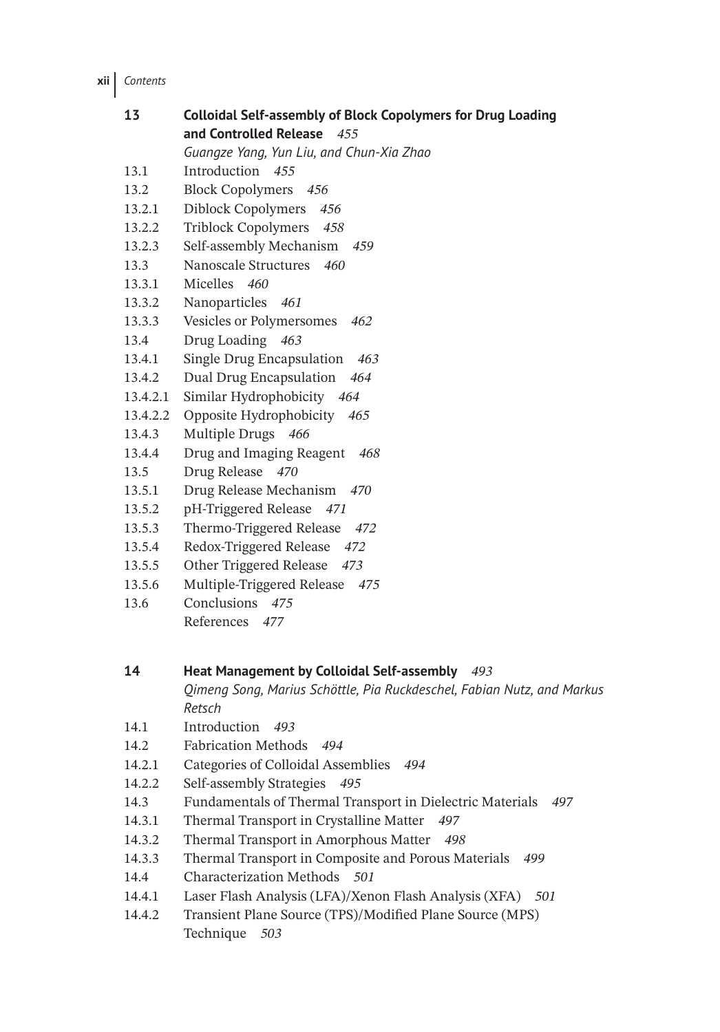**xii** *Contents*

| 13       | <b>Colloidal Self-assembly of Block Copolymers for Drug Loading</b>          |
|----------|------------------------------------------------------------------------------|
|          | and Controlled Release<br>455                                                |
|          | Guangze Yang, Yun Liu, and Chun-Xia Zhao                                     |
| 13.1     | Introduction 455                                                             |
| 13.2     | <b>Block Copolymers</b><br>- 456                                             |
| 13.2.1   | Diblock Copolymers<br>456                                                    |
| 13.2.2   | <b>Triblock Copolymers</b><br>458                                            |
| 13.2.3   | Self-assembly Mechanism<br>459                                               |
| 13.3     | Nanoscale Structures 460                                                     |
| 13.3.1   | Micelles 460                                                                 |
| 13.3.2   | Nanoparticles<br>461                                                         |
| 13.3.3   | Vesicles or Polymersomes<br>462                                              |
| 13.4     | Drug Loading<br>463                                                          |
| 13.4.1   | Single Drug Encapsulation<br>463                                             |
| 13.4.2   | Dual Drug Encapsulation<br>464                                               |
| 13.4.2.1 | Similar Hydrophobicity 464                                                   |
| 13.4.2.2 | Opposite Hydrophobicity 465                                                  |
| 13.4.3   | Multiple Drugs 466                                                           |
| 13.4.4   | Drug and Imaging Reagent<br>468                                              |
| 13.5     | Drug Release 470                                                             |
| 13.5.1   | Drug Release Mechanism<br>470                                                |
| 13.5.2   | pH-Triggered Release<br>471                                                  |
| 13.5.3   | Thermo-Triggered Release<br>472                                              |
| 13.5.4   | Redox-Triggered Release<br>472                                               |
| 13.5.5   | Other Triggered Release<br>473                                               |
| 13.5.6   | Multiple-Triggered Release 475                                               |
| 13.6     | Conclusions 475                                                              |
|          | References 477                                                               |
|          |                                                                              |
|          |                                                                              |
| 14       | Heat Management by Colloidal Self-assembly 493                               |
|          | Qimeng Song, Marius Schöttle, Pia Ruckdeschel, Fabian Nutz, and Markus       |
|          | Retsch                                                                       |
| 14.1     | Introduction<br>493                                                          |
| 14.2     | <b>Fabrication Methods</b><br>494                                            |
| 14.2.1   | Categories of Colloidal Assemblies<br>494                                    |
| 14.2.2   | Self-assembly Strategies<br>495                                              |
| 14.3     | Fundamentals of Thermal Transport in Dielectric Materials<br>497             |
| 14.3.1   | Thermal Transport in Crystalline Matter<br>497                               |
| 14.3.2   | Thermal Transport in Amorphous Matter<br>498                                 |
| 14.3.3   | Thermal Transport in Composite and Porous Materials<br>499                   |
| 14.4     | Characterization Methods 501                                                 |
| 14.4.1   | Laser Flash Analysis (LFA)/Xenon Flash Analysis (XFA)<br>501                 |
| 14.4.2   | Transient Plane Source (TPS)/Modified Plane Source (MPS)<br>Technique<br>503 |